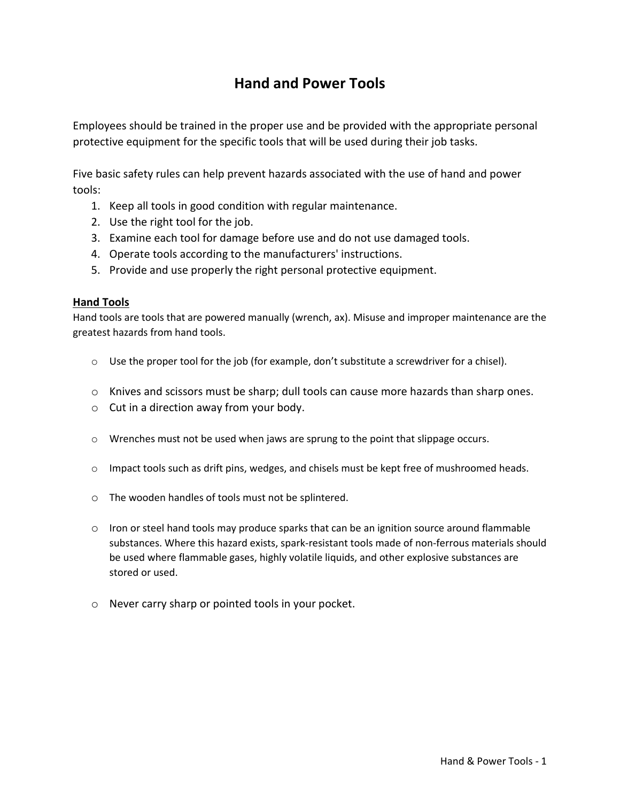## **Hand and Power Tools**

Employees should be trained in the proper use and be provided with the appropriate personal protective equipment for the specific tools that will be used during their job tasks.

Five basic safety rules can help prevent hazards associated with the use of hand and power tools:

- 1. Keep all tools in good condition with regular maintenance.
- 2. Use the right tool for the job.
- 3. Examine each tool for damage before use and do not use damaged tools.
- 4. Operate tools according to the manufacturers' instructions.
- 5. Provide and use properly the right personal protective equipment.

## **Hand Tools**

Hand tools are tools that are powered manually (wrench, ax). Misuse and improper maintenance are the greatest hazards from hand tools.

- $\circ$  Use the proper tool for the job (for example, don't substitute a screwdriver for a chisel).
- $\circ$  Knives and scissors must be sharp; dull tools can cause more hazards than sharp ones.
- $\circ$  Cut in a direction away from your body.
- o Wrenches must not be used when jaws are sprung to the point that slippage occurs.
- $\circ$  Impact tools such as drift pins, wedges, and chisels must be kept free of mushroomed heads.
- o The wooden handles of tools must not be splintered.
- $\circ$  Iron or steel hand tools may produce sparks that can be an ignition source around flammable substances. Where this hazard exists, spark-resistant tools made of non-ferrous materials should be used where flammable gases, highly volatile liquids, and other explosive substances are stored or used.
- o Never carry sharp or pointed tools in your pocket.